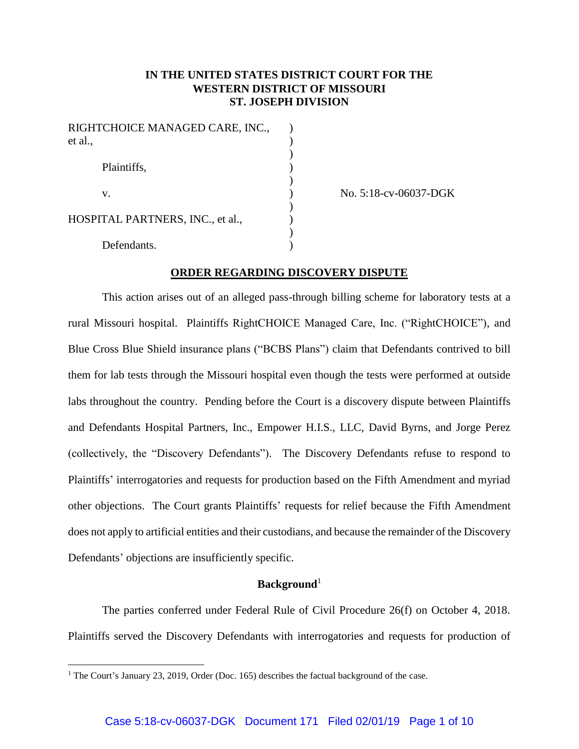# **IN THE UNITED STATES DISTRICT COURT FOR THE WESTERN DISTRICT OF MISSOURI ST. JOSEPH DIVISION**

| RIGHTCHOICE MANAGED CARE, INC.,<br>et al., |  |
|--------------------------------------------|--|
| Plaintiffs,                                |  |
| v.                                         |  |
| HOSPITAL PARTNERS, INC., et al.,           |  |
| Defendants.                                |  |

(a) No. 5:18-cv-06037-DGK

### **ORDER REGARDING DISCOVERY DISPUTE**

This action arises out of an alleged pass-through billing scheme for laboratory tests at a rural Missouri hospital. Plaintiffs RightCHOICE Managed Care, Inc. ("RightCHOICE"), and Blue Cross Blue Shield insurance plans ("BCBS Plans") claim that Defendants contrived to bill them for lab tests through the Missouri hospital even though the tests were performed at outside labs throughout the country. Pending before the Court is a discovery dispute between Plaintiffs and Defendants Hospital Partners, Inc., Empower H.I.S., LLC, David Byrns, and Jorge Perez (collectively, the "Discovery Defendants"). The Discovery Defendants refuse to respond to Plaintiffs' interrogatories and requests for production based on the Fifth Amendment and myriad other objections. The Court grants Plaintiffs' requests for relief because the Fifth Amendment does not apply to artificial entities and their custodians, and because the remainder of the Discovery Defendants' objections are insufficiently specific.

### **Background**<sup>1</sup>

The parties conferred under Federal Rule of Civil Procedure 26(f) on October 4, 2018. Plaintiffs served the Discovery Defendants with interrogatories and requests for production of

 $\overline{a}$ 

<sup>&</sup>lt;sup>1</sup> The Court's January 23, 2019, Order (Doc. 165) describes the factual background of the case.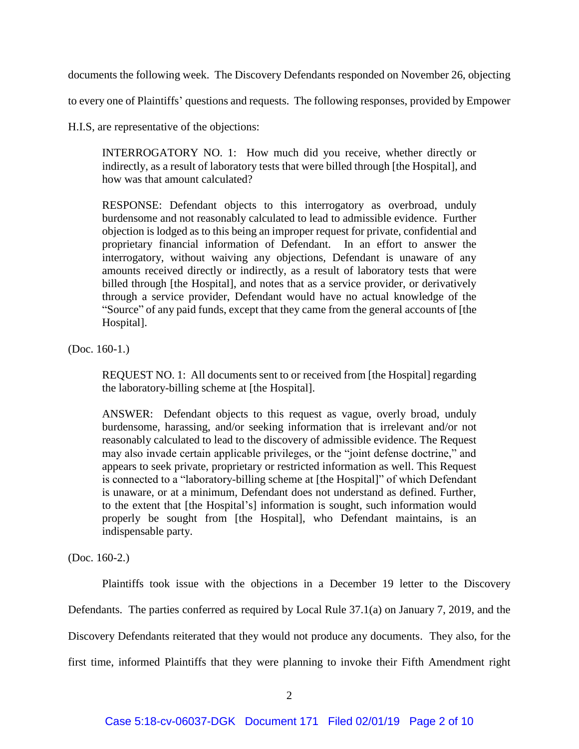documents the following week. The Discovery Defendants responded on November 26, objecting

to every one of Plaintiffs' questions and requests. The following responses, provided by Empower

H.I.S, are representative of the objections:

INTERROGATORY NO. 1: How much did you receive, whether directly or indirectly, as a result of laboratory tests that were billed through [the Hospital], and how was that amount calculated?

RESPONSE: Defendant objects to this interrogatory as overbroad, unduly burdensome and not reasonably calculated to lead to admissible evidence. Further objection is lodged as to this being an improper request for private, confidential and proprietary financial information of Defendant. In an effort to answer the interrogatory, without waiving any objections, Defendant is unaware of any amounts received directly or indirectly, as a result of laboratory tests that were billed through [the Hospital], and notes that as a service provider, or derivatively through a service provider, Defendant would have no actual knowledge of the "Source" of any paid funds, except that they came from the general accounts of [the Hospital].

(Doc. 160-1.)

REQUEST NO. 1: All documents sent to or received from [the Hospital] regarding the laboratory-billing scheme at [the Hospital].

ANSWER: Defendant objects to this request as vague, overly broad, unduly burdensome, harassing, and/or seeking information that is irrelevant and/or not reasonably calculated to lead to the discovery of admissible evidence. The Request may also invade certain applicable privileges, or the "joint defense doctrine," and appears to seek private, proprietary or restricted information as well. This Request is connected to a "laboratory-billing scheme at [the Hospital]" of which Defendant is unaware, or at a minimum, Defendant does not understand as defined. Further, to the extent that [the Hospital's] information is sought, such information would properly be sought from [the Hospital], who Defendant maintains, is an indispensable party.

(Doc. 160-2.)

Plaintiffs took issue with the objections in a December 19 letter to the Discovery Defendants. The parties conferred as required by Local Rule 37.1(a) on January 7, 2019, and the Discovery Defendants reiterated that they would not produce any documents. They also, for the first time, informed Plaintiffs that they were planning to invoke their Fifth Amendment right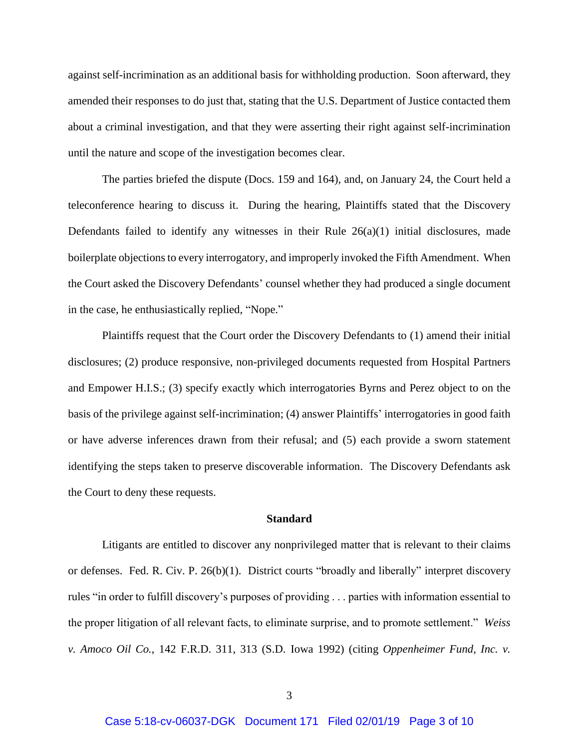against self-incrimination as an additional basis for withholding production. Soon afterward, they amended their responses to do just that, stating that the U.S. Department of Justice contacted them about a criminal investigation, and that they were asserting their right against self-incrimination until the nature and scope of the investigation becomes clear.

The parties briefed the dispute (Docs. 159 and 164), and, on January 24, the Court held a teleconference hearing to discuss it. During the hearing, Plaintiffs stated that the Discovery Defendants failed to identify any witnesses in their Rule  $26(a)(1)$  initial disclosures, made boilerplate objections to every interrogatory, and improperly invoked the Fifth Amendment. When the Court asked the Discovery Defendants' counsel whether they had produced a single document in the case, he enthusiastically replied, "Nope."

Plaintiffs request that the Court order the Discovery Defendants to (1) amend their initial disclosures; (2) produce responsive, non-privileged documents requested from Hospital Partners and Empower H.I.S.; (3) specify exactly which interrogatories Byrns and Perez object to on the basis of the privilege against self-incrimination; (4) answer Plaintiffs' interrogatories in good faith or have adverse inferences drawn from their refusal; and (5) each provide a sworn statement identifying the steps taken to preserve discoverable information. The Discovery Defendants ask the Court to deny these requests.

#### **Standard**

Litigants are entitled to discover any nonprivileged matter that is relevant to their claims or defenses. Fed. R. Civ. P. 26(b)(1). District courts "broadly and liberally" interpret discovery rules "in order to fulfill discovery's purposes of providing . . . parties with information essential to the proper litigation of all relevant facts, to eliminate surprise, and to promote settlement." *Weiss v. Amoco Oil Co.*, 142 F.R.D. 311, 313 (S.D. Iowa 1992) (citing *Oppenheimer Fund, Inc. v.*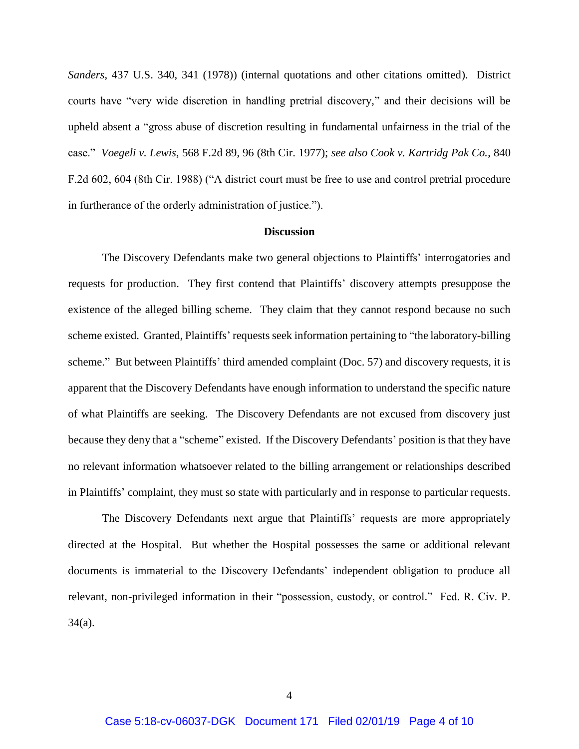*Sanders*, 437 U.S. 340, 341 (1978)) (internal quotations and other citations omitted). District courts have "very wide discretion in handling pretrial discovery," and their decisions will be upheld absent a "gross abuse of discretion resulting in fundamental unfairness in the trial of the case." *Voegeli v. Lewis*, 568 F.2d 89, 96 (8th Cir. 1977); *see also Cook v. Kartridg Pak Co.*, 840 F.2d 602, 604 (8th Cir. 1988) ("A district court must be free to use and control pretrial procedure in furtherance of the orderly administration of justice.").

# **Discussion**

The Discovery Defendants make two general objections to Plaintiffs' interrogatories and requests for production. They first contend that Plaintiffs' discovery attempts presuppose the existence of the alleged billing scheme. They claim that they cannot respond because no such scheme existed. Granted, Plaintiffs' requests seek information pertaining to "the laboratory-billing scheme." But between Plaintiffs' third amended complaint (Doc. 57) and discovery requests, it is apparent that the Discovery Defendants have enough information to understand the specific nature of what Plaintiffs are seeking. The Discovery Defendants are not excused from discovery just because they deny that a "scheme" existed. If the Discovery Defendants' position is that they have no relevant information whatsoever related to the billing arrangement or relationships described in Plaintiffs' complaint, they must so state with particularly and in response to particular requests.

The Discovery Defendants next argue that Plaintiffs' requests are more appropriately directed at the Hospital. But whether the Hospital possesses the same or additional relevant documents is immaterial to the Discovery Defendants' independent obligation to produce all relevant, non-privileged information in their "possession, custody, or control." Fed. R. Civ. P. 34(a).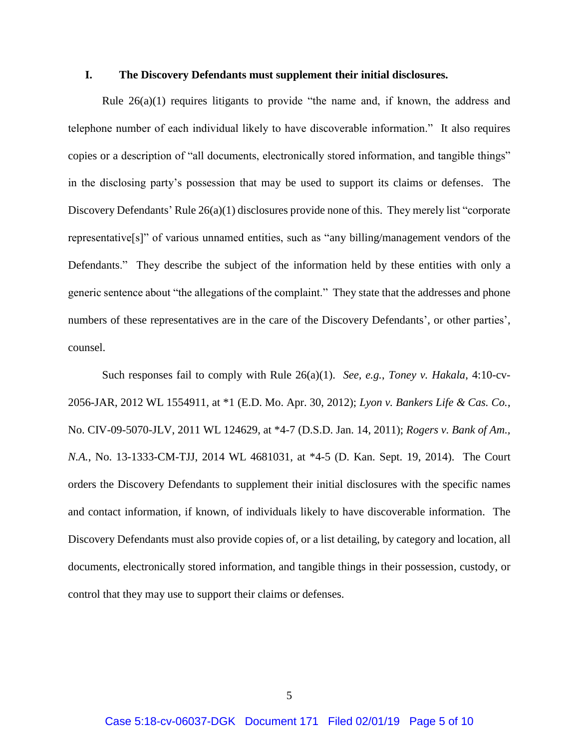### **I. The Discovery Defendants must supplement their initial disclosures.**

Rule 26(a)(1) requires litigants to provide "the name and, if known, the address and telephone number of each individual likely to have discoverable information." It also requires copies or a description of "all documents, electronically stored information, and tangible things" in the disclosing party's possession that may be used to support its claims or defenses. The Discovery Defendants' Rule 26(a)(1) disclosures provide none of this. They merely list "corporate representative[s]" of various unnamed entities, such as "any billing/management vendors of the Defendants." They describe the subject of the information held by these entities with only a generic sentence about "the allegations of the complaint." They state that the addresses and phone numbers of these representatives are in the care of the Discovery Defendants', or other parties', counsel.

Such responses fail to comply with Rule 26(a)(1). *See, e.g.*, *Toney v. Hakala*, 4:10-cv-2056-JAR, 2012 WL 1554911, at \*1 (E.D. Mo. Apr. 30, 2012); *Lyon v. Bankers Life & Cas. Co.*, No. CIV-09-5070-JLV, 2011 WL 124629, at \*4-7 (D.S.D. Jan. 14, 2011); *Rogers v. Bank of Am., N.A.*, No. 13-1333-CM-TJJ, 2014 WL 4681031, at \*4-5 (D. Kan. Sept. 19, 2014). The Court orders the Discovery Defendants to supplement their initial disclosures with the specific names and contact information, if known, of individuals likely to have discoverable information. The Discovery Defendants must also provide copies of, or a list detailing, by category and location, all documents, electronically stored information, and tangible things in their possession, custody, or control that they may use to support their claims or defenses.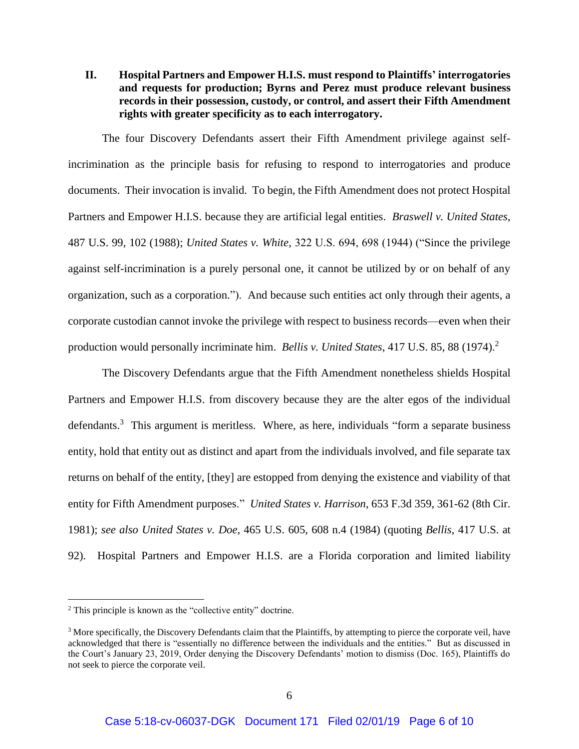**II. Hospital Partners and Empower H.I.S. must respond to Plaintiffs' interrogatories and requests for production; Byrns and Perez must produce relevant business records in their possession, custody, or control, and assert their Fifth Amendment rights with greater specificity as to each interrogatory.**

The four Discovery Defendants assert their Fifth Amendment privilege against selfincrimination as the principle basis for refusing to respond to interrogatories and produce documents. Their invocation is invalid. To begin, the Fifth Amendment does not protect Hospital Partners and Empower H.I.S. because they are artificial legal entities. *Braswell v. United States*, 487 U.S. 99, 102 (1988); *United States v. White*, 322 U.S. 694, 698 (1944) ("Since the privilege against self-incrimination is a purely personal one, it cannot be utilized by or on behalf of any organization, such as a corporation."). And because such entities act only through their agents, a corporate custodian cannot invoke the privilege with respect to business records—even when their production would personally incriminate him. *Bellis v. United States*, 417 U.S. 85, 88 (1974).<sup>2</sup>

The Discovery Defendants argue that the Fifth Amendment nonetheless shields Hospital Partners and Empower H.I.S. from discovery because they are the alter egos of the individual defendants.<sup>3</sup> This argument is meritless. Where, as here, individuals "form a separate business entity, hold that entity out as distinct and apart from the individuals involved, and file separate tax returns on behalf of the entity, [they] are estopped from denying the existence and viability of that entity for Fifth Amendment purposes." *United States v. Harrison*, 653 F.3d 359, 361-62 (8th Cir. 1981); *see also United States v. Doe*, 465 U.S. 605, 608 n.4 (1984) (quoting *Bellis*, 417 U.S. at 92). Hospital Partners and Empower H.I.S. are a Florida corporation and limited liability

 $\overline{a}$ 

<sup>2</sup> This principle is known as the "collective entity" doctrine.

<sup>&</sup>lt;sup>3</sup> More specifically, the Discovery Defendants claim that the Plaintiffs, by attempting to pierce the corporate veil, have acknowledged that there is "essentially no difference between the individuals and the entities." But as discussed in the Court's January 23, 2019, Order denying the Discovery Defendants' motion to dismiss (Doc. 165), Plaintiffs do not seek to pierce the corporate veil.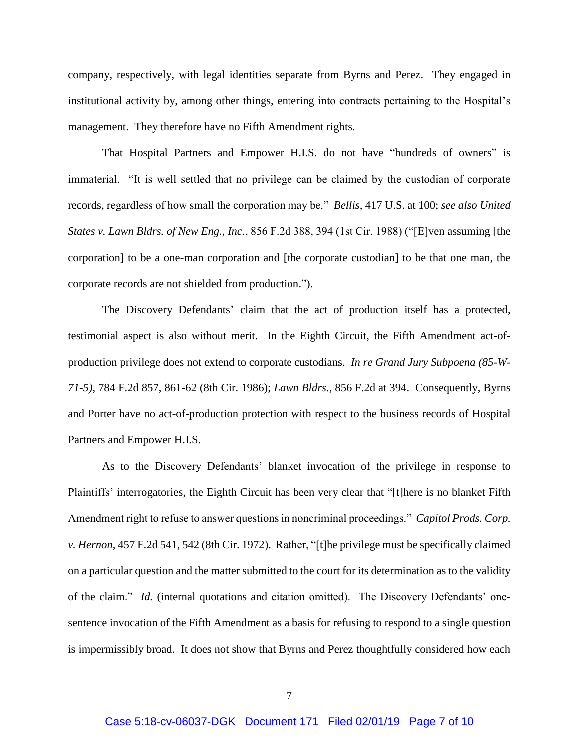company, respectively, with legal identities separate from Byrns and Perez. They engaged in institutional activity by, among other things, entering into contracts pertaining to the Hospital's management. They therefore have no Fifth Amendment rights.

That Hospital Partners and Empower H.I.S. do not have "hundreds of owners" is immaterial. "It is well settled that no privilege can be claimed by the custodian of corporate records, regardless of how small the corporation may be." *Bellis*, 417 U.S. at 100; *see also United States v. Lawn Bldrs. of New Eng., Inc.*, 856 F.2d 388, 394 (1st Cir. 1988) ("[E]ven assuming [the corporation] to be a one-man corporation and [the corporate custodian] to be that one man, the corporate records are not shielded from production.").

The Discovery Defendants' claim that the act of production itself has a protected, testimonial aspect is also without merit. In the Eighth Circuit, the Fifth Amendment act-ofproduction privilege does not extend to corporate custodians. *In re Grand Jury Subpoena (85-W-71-5)*, 784 F.2d 857, 861-62 (8th Cir. 1986); *Lawn Bldrs.*, 856 F.2d at 394. Consequently, Byrns and Porter have no act-of-production protection with respect to the business records of Hospital Partners and Empower H.I.S.

As to the Discovery Defendants' blanket invocation of the privilege in response to Plaintiffs' interrogatories, the Eighth Circuit has been very clear that "[t]here is no blanket Fifth Amendment right to refuse to answer questions in noncriminal proceedings." *Capitol Prods. Corp. v. Hernon*, 457 F.2d 541, 542 (8th Cir. 1972). Rather, "[t]he privilege must be specifically claimed on a particular question and the matter submitted to the court for its determination as to the validity of the claim." *Id.* (internal quotations and citation omitted). The Discovery Defendants' onesentence invocation of the Fifth Amendment as a basis for refusing to respond to a single question is impermissibly broad. It does not show that Byrns and Perez thoughtfully considered how each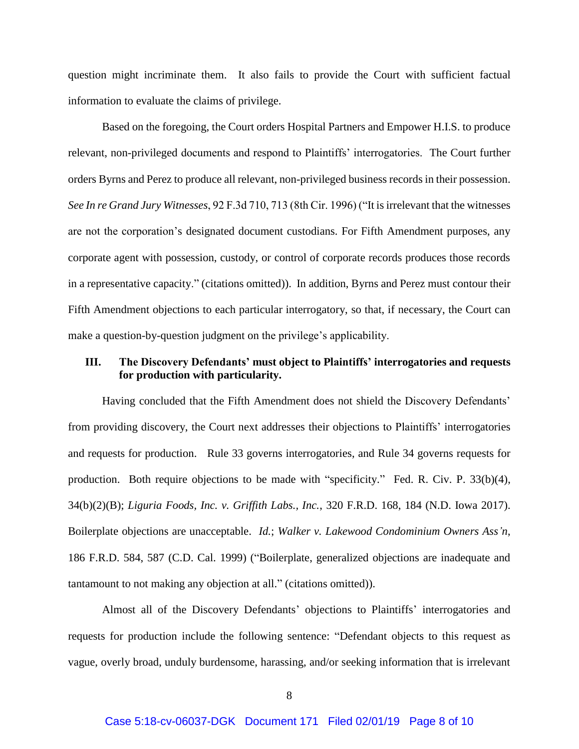question might incriminate them. It also fails to provide the Court with sufficient factual information to evaluate the claims of privilege.

Based on the foregoing, the Court orders Hospital Partners and Empower H.I.S. to produce relevant, non-privileged documents and respond to Plaintiffs' interrogatories. The Court further orders Byrns and Perez to produce all relevant, non-privileged business records in their possession. *See In re Grand Jury Witnesses*, 92 F.3d 710, 713 (8th Cir. 1996) ("It is irrelevant that the witnesses are not the corporation's designated document custodians. For Fifth Amendment purposes, any corporate agent with possession, custody, or control of corporate records produces those records in a representative capacity." (citations omitted)). In addition, Byrns and Perez must contour their Fifth Amendment objections to each particular interrogatory, so that, if necessary, the Court can make a question-by-question judgment on the privilege's applicability.

# **III. The Discovery Defendants' must object to Plaintiffs' interrogatories and requests for production with particularity.**

Having concluded that the Fifth Amendment does not shield the Discovery Defendants' from providing discovery, the Court next addresses their objections to Plaintiffs' interrogatories and requests for production. Rule 33 governs interrogatories, and Rule 34 governs requests for production. Both require objections to be made with "specificity." Fed. R. Civ. P. 33(b)(4), 34(b)(2)(B); *Liguria Foods, Inc. v. Griffith Labs., Inc.*, 320 F.R.D. 168, 184 (N.D. Iowa 2017). Boilerplate objections are unacceptable. *Id.*; *Walker v. Lakewood Condominium Owners Ass'n*, 186 F.R.D. 584, 587 (C.D. Cal. 1999) ("Boilerplate, generalized objections are inadequate and tantamount to not making any objection at all." (citations omitted)).

Almost all of the Discovery Defendants' objections to Plaintiffs' interrogatories and requests for production include the following sentence: "Defendant objects to this request as vague, overly broad, unduly burdensome, harassing, and/or seeking information that is irrelevant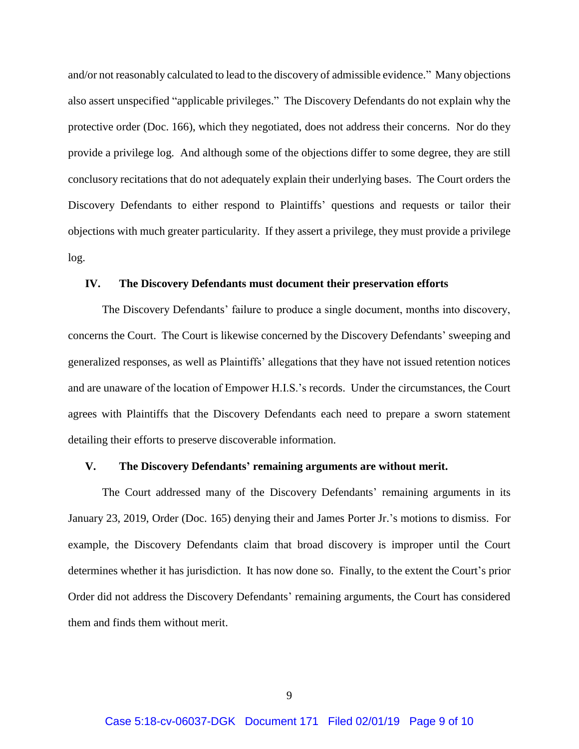and/or not reasonably calculated to lead to the discovery of admissible evidence." Many objections also assert unspecified "applicable privileges." The Discovery Defendants do not explain why the protective order (Doc. 166), which they negotiated, does not address their concerns. Nor do they provide a privilege log. And although some of the objections differ to some degree, they are still conclusory recitations that do not adequately explain their underlying bases. The Court orders the Discovery Defendants to either respond to Plaintiffs' questions and requests or tailor their objections with much greater particularity. If they assert a privilege, they must provide a privilege log.

### **IV. The Discovery Defendants must document their preservation efforts**

The Discovery Defendants' failure to produce a single document, months into discovery, concerns the Court. The Court is likewise concerned by the Discovery Defendants' sweeping and generalized responses, as well as Plaintiffs' allegations that they have not issued retention notices and are unaware of the location of Empower H.I.S.'s records. Under the circumstances, the Court agrees with Plaintiffs that the Discovery Defendants each need to prepare a sworn statement detailing their efforts to preserve discoverable information.

# **V. The Discovery Defendants' remaining arguments are without merit.**

The Court addressed many of the Discovery Defendants' remaining arguments in its January 23, 2019, Order (Doc. 165) denying their and James Porter Jr.'s motions to dismiss. For example, the Discovery Defendants claim that broad discovery is improper until the Court determines whether it has jurisdiction. It has now done so. Finally, to the extent the Court's prior Order did not address the Discovery Defendants' remaining arguments, the Court has considered them and finds them without merit.